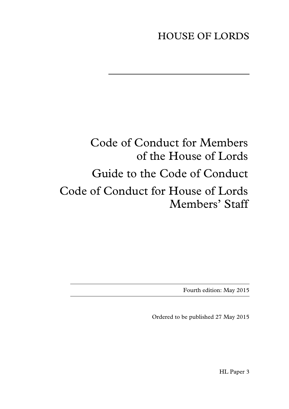# Code of Conduct for Members of the House of Lords Guide to the Code of Conduct Code of Conduct for House of Lords Members' Staff

Fourth edition: May 2015

Ordered to be published 27 May 2015

HL Paper 3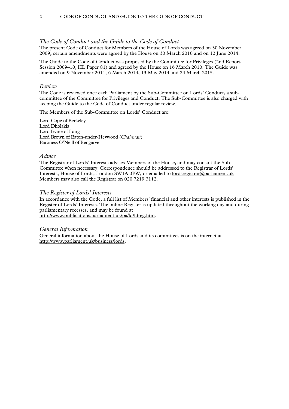#### *The Code of Conduct and the Guide to the Code of Conduct*

The present Code of Conduct for Members of the House of Lords was agreed on 30 November 2009; certain amendments were agreed by the House on 30 March 2010 and on 12 June 2014.

The Guide to the Code of Conduct was proposed by the Committee for Privileges (2nd Report, Session 2009–10, HL Paper 81) and agreed by the House on 16 March 2010. The Guide was amended on 9 November 2011, 6 March 2014, 13 May 2014 and 24 March 2015.

#### *Review*

The Code is reviewed once each Parliament by the Sub-Committee on Lords' Conduct, a subcommittee of the Committee for Privileges and Conduct. The Sub-Committee is also charged with keeping the Guide to the Code of Conduct under regular review.

The Members of the Sub-Committee on Lords' Conduct are:

Lord Cope of Berkeley Lord Dholakia Lord Irvine of Lairg Lord Brown of Eaton-under-Heywood (*Chairman*) Baroness O'Neill of Bengarve

#### *Advice*

The Registrar of Lords' Interests advises Members of the House, and may consult the Sub-Committee when necessary. Correspondence should be addressed to the Registrar of Lords' Interests, House of Lords, London SW1A 0PW, or emailed to lordsregistrar@parliament.uk Members may also call the Registrar on 020 7219 3112.

#### *The Register of Lords' Interests*

In accordance with the Code, a full list of Members' financial and other interests is published in the Register of Lords' Interests. The online Register is updated throughout the working day and during parliamentary recesses, and may be found at http://www.publications.parliament.uk/pa/ld/ldreg.htm.

#### *General Information*

General information about the House of Lords and its committees is on the internet at http://www.parliament.uk/business/lords.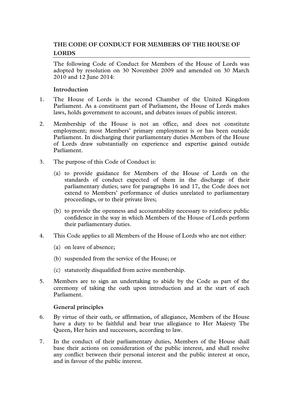# **THE CODE OF CONDUCT FOR MEMBERS OF THE HOUSE OF LORDS**

The following Code of Conduct for Members of the House of Lords was adopted by resolution on 30 November 2009 and amended on 30 March 2010 and 12 June 2014:

# **Introduction**

- 1. The House of Lords is the second Chamber of the United Kingdom Parliament. As a constituent part of Parliament, the House of Lords makes laws, holds government to account, and debates issues of public interest.
- 2. Membership of the House is not an office, and does not constitute employment; most Members' primary employment is or has been outside Parliament. In discharging their parliamentary duties Members of the House of Lords draw substantially on experience and expertise gained outside Parliament.
- 3. The purpose of this Code of Conduct is:
	- (a) to provide guidance for Members of the House of Lords on the standards of conduct expected of them in the discharge of their parliamentary duties; save for paragraphs 16 and 17, the Code does not extend to Members' performance of duties unrelated to parliamentary proceedings, or to their private lives;
	- (b) to provide the openness and accountability necessary to reinforce public confidence in the way in which Members of the House of Lords perform their parliamentary duties.
- 4. This Code applies to all Members of the House of Lords who are not either:
	- (a) on leave of absence;
	- (b) suspended from the service of the House; or
	- (c) statutorily disqualified from active membership.
- 5. Members are to sign an undertaking to abide by the Code as part of the ceremony of taking the oath upon introduction and at the start of each Parliament.

## **General principles**

- 6. By virtue of their oath, or affirmation, of allegiance, Members of the House have a duty to be faithful and bear true allegiance to Her Majesty The Queen, Her heirs and successors, according to law.
- 7. In the conduct of their parliamentary duties, Members of the House shall base their actions on consideration of the public interest, and shall resolve any conflict between their personal interest and the public interest at once, and in favour of the public interest.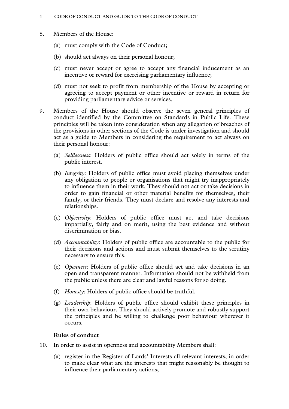- 8. Members of the House:
	- (a) must comply with the Code of Conduct;
	- (b) should act always on their personal honour;
	- (c) must never accept or agree to accept any financial inducement as an incentive or reward for exercising parliamentary influence;
	- (d) must not seek to profit from membership of the House by accepting or agreeing to accept payment or other incentive or reward in return for providing parliamentary advice or services.
- 9. Members of the House should observe the seven general principles of conduct identified by the Committee on Standards in Public Life. These principles will be taken into consideration when any allegation of breaches of the provisions in other sections of the Code is under investigation and should act as a guide to Members in considering the requirement to act always on their personal honour:
	- (a) *Selflessness*: Holders of public office should act solely in terms of the public interest.
	- (b) *Integrity*: Holders of public office must avoid placing themselves under any obligation to people or organisations that might try inappropriately to influence them in their work. They should not act or take decisions in order to gain financial or other material benefits for themselves, their family, or their friends. They must declare and resolve any interests and relationships.
	- (c) *Objectivity*: Holders of public office must act and take decisions impartially, fairly and on merit, using the best evidence and without discrimination or bias.
	- (d) *Accountability*: Holders of public office are accountable to the public for their decisions and actions and must submit themselves to the scrutiny necessary to ensure this.
	- (e) *Openness*: Holders of public office should act and take decisions in an open and transparent manner. Information should not be withheld from the public unless there are clear and lawful reasons for so doing.
	- (f) *Honesty*: Holders of public office should be truthful.
	- (g) *Leadership*: Holders of public office should exhibit these principles in their own behaviour. They should actively promote and robustly support the principles and be willing to challenge poor behaviour wherever it occurs.

#### **Rules of conduct**

- 10. In order to assist in openness and accountability Members shall:
	- (a) register in the Register of Lords' Interests all relevant interests, in order to make clear what are the interests that might reasonably be thought to influence their parliamentary actions;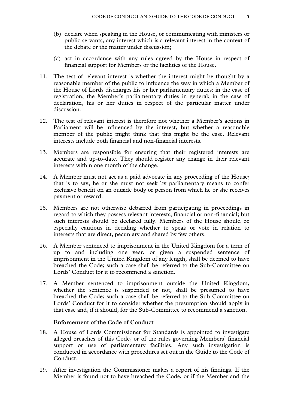- (b) declare when speaking in the House, or communicating with ministers or public servants, any interest which is a relevant interest in the context of the debate or the matter under discussion;
- (c) act in accordance with any rules agreed by the House in respect of financial support for Members or the facilities of the House.
- 11. The test of relevant interest is whether the interest might be thought by a reasonable member of the public to influence the way in which a Member of the House of Lords discharges his or her parliamentary duties: in the case of registration, the Member's parliamentary duties in general; in the case of declaration, his or her duties in respect of the particular matter under discussion.
- 12. The test of relevant interest is therefore not whether a Member's actions in Parliament will be influenced by the interest, but whether a reasonable member of the public might think that this might be the case. Relevant interests include both financial and non-financial interests.
- 13. Members are responsible for ensuring that their registered interests are accurate and up-to-date. They should register any change in their relevant interests within one month of the change.
- 14. A Member must not act as a paid advocate in any proceeding of the House; that is to say, he or she must not seek by parliamentary means to confer exclusive benefit on an outside body or person from which he or she receives payment or reward.
- 15. Members are not otherwise debarred from participating in proceedings in regard to which they possess relevant interests, financial or non-financial; but such interests should be declared fully. Members of the House should be especially cautious in deciding whether to speak or vote in relation to interests that are direct, pecuniary and shared by few others.
- 16. A Member sentenced to imprisonment in the United Kingdom for a term of up to and including one year, or given a suspended sentence of imprisonment in the United Kingdom of any length, shall be deemed to have breached the Code; such a case shall be referred to the Sub-Committee on Lords' Conduct for it to recommend a sanction.
- 17. A Member sentenced to imprisonment outside the United Kingdom, whether the sentence is suspended or not, shall be presumed to have breached the Code; such a case shall be referred to the Sub-Committee on Lords' Conduct for it to consider whether the presumption should apply in that case and, if it should, for the Sub-Committee to recommend a sanction.

## **Enforcement of the Code of Conduct**

- 18. A House of Lords Commissioner for Standards is appointed to investigate alleged breaches of this Code, or of the rules governing Members' financial support or use of parliamentary facilities. Any such investigation is conducted in accordance with procedures set out in the Guide to the Code of Conduct.
- 19. After investigation the Commissioner makes a report of his findings. If the Member is found not to have breached the Code, or if the Member and the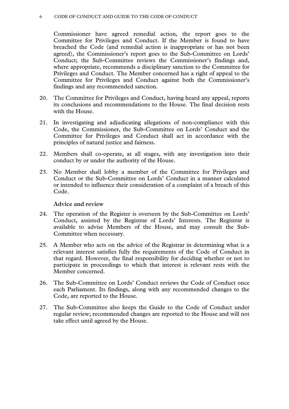#### 6 CODE OF CONDUCT AND GUIDE TO THE CODE OF CONDUCT

Commissioner have agreed remedial action, the report goes to the Committee for Privileges and Conduct. If the Member is found to have breached the Code (and remedial action is inappropriate or has not been agreed), the Commissioner's report goes to the Sub-Committee on Lords' Conduct; the Sub-Committee reviews the Commissioner's findings and, where appropriate, recommends a disciplinary sanction to the Committee for Privileges and Conduct. The Member concerned has a right of appeal to the Committee for Privileges and Conduct against both the Commissioner's findings and any recommended sanction.

- 20. The Committee for Privileges and Conduct, having heard any appeal, reports its conclusions and recommendations to the House. The final decision rests with the House.
- 21. In investigating and adjudicating allegations of non-compliance with this Code, the Commissioner, the Sub-Committee on Lords' Conduct and the Committee for Privileges and Conduct shall act in accordance with the principles of natural justice and fairness.
- 22. Members shall co-operate, at all stages, with any investigation into their conduct by or under the authority of the House.
- 23. No Member shall lobby a member of the Committee for Privileges and Conduct or the Sub-Committee on Lords' Conduct in a manner calculated or intended to influence their consideration of a complaint of a breach of this Code.

#### **Advice and review**

- 24. The operation of the Register is overseen by the Sub-Committee on Lords' Conduct, assisted by the Registrar of Lords' Interests. The Registrar is available to advise Members of the House, and may consult the Sub-Committee when necessary.
- 25. A Member who acts on the advice of the Registrar in determining what is a relevant interest satisfies fully the requirements of the Code of Conduct in that regard. However, the final responsibility for deciding whether or not to participate in proceedings to which that interest is relevant rests with the Member concerned.
- 26. The Sub-Committee on Lords' Conduct reviews the Code of Conduct once each Parliament. Its findings, along with any recommended changes to the Code, are reported to the House.
- 27. The Sub-Committee also keeps the Guide to the Code of Conduct under regular review; recommended changes are reported to the House and will not take effect until agreed by the House.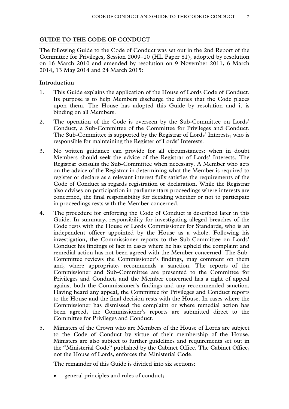# **GUIDE TO THE CODE OF CONDUCT**

The following Guide to the Code of Conduct was set out in the 2nd Report of the Committee for Privileges, Session 2009–10 (HL Paper 81), adopted by resolution on 16 March 2010 and amended by resolution on 9 November 2011, 6 March 2014, 13 May 2014 and 24 March 2015:

#### **Introduction**

- 1. This Guide explains the application of the House of Lords Code of Conduct. Its purpose is to help Members discharge the duties that the Code places upon them. The House has adopted this Guide by resolution and it is binding on all Members.
- 2. The operation of the Code is overseen by the Sub-Committee on Lords' Conduct, a Sub-Committee of the Committee for Privileges and Conduct. The Sub-Committee is supported by the Registrar of Lords' Interests, who is responsible for maintaining the Register of Lords' Interests.
- 3. No written guidance can provide for all circumstances: when in doubt Members should seek the advice of the Registrar of Lords' Interests. The Registrar consults the Sub-Committee when necessary. A Member who acts on the advice of the Registrar in determining what the Member is required to register or declare as a relevant interest fully satisfies the requirements of the Code of Conduct as regards registration or declaration. While the Registrar also advises on participation in parliamentary proceedings where interests are concerned, the final responsibility for deciding whether or not to participate in proceedings rests with the Member concerned.
- 4. The procedure for enforcing the Code of Conduct is described later in this Guide. In summary, responsibility for investigating alleged breaches of the Code rests with the House of Lords Commissioner for Standards, who is an independent officer appointed by the House as a whole. Following his investigation, the Commissioner reports to the Sub-Committee on Lords' Conduct his findings of fact in cases where he has upheld the complaint and remedial action has not been agreed with the Member concerned. The Sub-Committee reviews the Commissioner's findings, may comment on them and, where appropriate, recommends a sanction. The reports of the Commissioner and Sub-Committee are presented to the Committee for Privileges and Conduct, and the Member concerned has a right of appeal against both the Commissioner's findings and any recommended sanction. Having heard any appeal, the Committee for Privileges and Conduct reports to the House and the final decision rests with the House. In cases where the Commissioner has dismissed the complaint or where remedial action has been agreed, the Commissioner's reports are submitted direct to the Committee for Privileges and Conduct.
- 5. Ministers of the Crown who are Members of the House of Lords are subject to the Code of Conduct by virtue of their membership of the House. Ministers are also subject to further guidelines and requirements set out in the "Ministerial Code" published by the Cabinet Office. The Cabinet Office, not the House of Lords, enforces the Ministerial Code.

The remainder of this Guide is divided into six sections:

general principles and rules of conduct;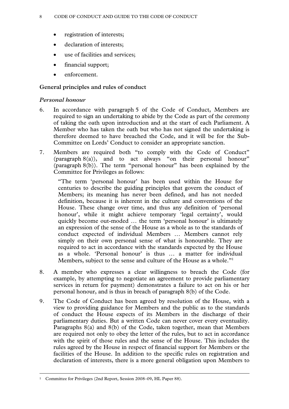- registration of interests;
- declaration of interests;
- use of facilities and services;
- financial support;
- enforcement.

## **General principles and rules of conduct**

## *Personal honour*

- 6. In accordance with paragraph 5 of the Code of Conduct, Members are required to sign an undertaking to abide by the Code as part of the ceremony of taking the oath upon introduction and at the start of each Parliament. A Member who has taken the oath but who has not signed the undertaking is therefore deemed to have breached the Code, and it will be for the Sub-Committee on Lords' Conduct to consider an appropriate sanction.
- 7. Members are required both "to comply with the Code of Conduct" (paragraph 8(a)), and to act always "on their personal honour" (paragraph 8(b)). The term "personal honour" has been explained by the Committee for Privileges as follows:

"The term 'personal honour' has been used within the House for centuries to describe the guiding principles that govern the conduct of Members; its meaning has never been defined, and has not needed definition, because it is inherent in the culture and conventions of the House. These change over time, and thus any definition of 'personal honour', while it might achieve temporary 'legal certainty', would quickly become out-moded … the term 'personal honour' is ultimately an expression of the sense of the House as a whole as to the standards of conduct expected of individual Members … Members cannot rely simply on their own personal sense of what is honourable. They are required to act in accordance with the standards expected by the House as a whole. 'Personal honour' is thus … a matter for individual Members, subject to the sense and culture of the House as a whole."1

- 8. A member who expresses a clear willingness to breach the Code (for example, by attempting to negotiate an agreement to provide parliamentary services in return for payment) demonstrates a failure to act on his or her personal honour, and is thus in breach of paragraph 8(b) of the Code.
- 9. The Code of Conduct has been agreed by resolution of the House, with a view to providing guidance for Members and the public as to the standards of conduct the House expects of its Members in the discharge of their parliamentary duties. But a written Code can never cover every eventuality. Paragraphs 8(a) and 8(b) of the Code, taken together, mean that Members are required not only to obey the letter of the rules, but to act in accordance with the spirit of those rules and the sense of the House. This includes the rules agreed by the House in respect of financial support for Members or the facilities of the House. In addition to the specific rules on registration and declaration of interests, there is a more general obligation upon Members to

<sup>&</sup>lt;sup>1</sup> Committee for Privileges (2nd Report, Session 2008–09, HL Paper 88).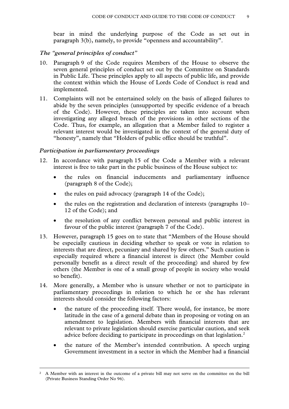bear in mind the underlying purpose of the Code as set out in paragraph 3(b), namely, to provide "openness and accountability".

#### *The "general principles of conduct"*

- 10. Paragraph 9 of the Code requires Members of the House to observe the seven general principles of conduct set out by the Committee on Standards in Public Life. These principles apply to all aspects of public life, and provide the context within which the House of Lords Code of Conduct is read and implemented.
- 11. Complaints will not be entertained solely on the basis of alleged failures to abide by the seven principles (unsupported by specific evidence of a breach of the Code). However, these principles are taken into account when investigating any alleged breach of the provisions in other sections of the Code. Thus, for example, an allegation that a Member failed to register a relevant interest would be investigated in the context of the general duty of "honesty", namely that "Holders of public office should be truthful".

## *Participation in parliamentary proceedings*

- 12. In accordance with paragraph 15 of the Code a Member with a relevant interest is free to take part in the public business of the House subject to:
	- the rules on financial inducements and parliamentary influence (paragraph 8 of the Code);
	- the rules on paid advocacy (paragraph 14 of the Code);
	- the rules on the registration and declaration of interests (paragraphs 10– 12 of the Code); and
	- the resolution of any conflict between personal and public interest in favour of the public interest (paragraph 7 of the Code).
- 13. However, paragraph 15 goes on to state that "Members of the House should be especially cautious in deciding whether to speak or vote in relation to interests that are direct, pecuniary and shared by few others." Such caution is especially required where a financial interest is direct (the Member could personally benefit as a direct result of the proceeding) and shared by few others (the Member is one of a small group of people in society who would so benefit).
- 14. More generally, a Member who is unsure whether or not to participate in parliamentary proceedings in relation to which he or she has relevant interests should consider the following factors:
	- the nature of the proceeding itself. There would, for instance, be more latitude in the case of a general debate than in proposing or voting on an amendment to legislation. Members with financial interests that are relevant to private legislation should exercise particular caution, and seek advice before deciding to participate in proceedings on that legislation.<sup>2</sup>
	- the nature of the Member's intended contribution. A speech urging Government investment in a sector in which the Member had a financial

 <sup>2</sup> A Member with an interest in the outcome of a private bill may not serve on the committee on the bill (Private Business Standing Order No 96).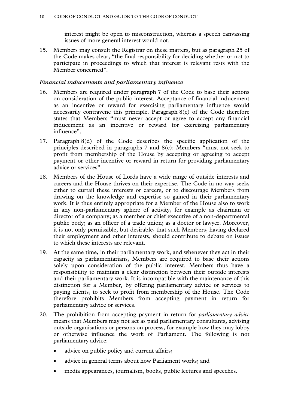interest might be open to misconstruction, whereas a speech canvassing issues of more general interest would not.

15. Members may consult the Registrar on these matters, but as paragraph 25 of the Code makes clear, "the final responsibility for deciding whether or not to participate in proceedings to which that interest is relevant rests with the Member concerned".

#### *Financial inducements and parliamentary influence*

- 16. Members are required under paragraph 7 of the Code to base their actions on consideration of the public interest. Acceptance of financial inducement as an incentive or reward for exercising parliamentary influence would necessarily contravene this principle. Paragraph 8(c) of the Code therefore states that Members "must never accept or agree to accept any financial inducement as an incentive or reward for exercising parliamentary influence".
- 17. Paragraph 8(d) of the Code describes the specific application of the principles described in paragraphs 7 and 8(c): Members "must not seek to profit from membership of the House by accepting or agreeing to accept payment or other incentive or reward in return for providing parliamentary advice or services".
- 18. Members of the House of Lords have a wide range of outside interests and careers and the House thrives on their expertise. The Code in no way seeks either to curtail these interests or careers, or to discourage Members from drawing on the knowledge and expertise so gained in their parliamentary work. It is thus entirely appropriate for a Member of the House also to work in any non-parliamentary sphere of activity, for example as chairman or director of a company; as a member or chief executive of a non-departmental public body; as an officer of a trade union; as a doctor or lawyer. Moreover, it is not only permissible, but desirable, that such Members, having declared their employment and other interests, should contribute to debate on issues to which these interests are relevant.
- 19. At the same time, in their parliamentary work, and whenever they act in their capacity as parliamentarians, Members are required to base their actions solely upon consideration of the public interest. Members thus have a responsibility to maintain a clear distinction between their outside interests and their parliamentary work. It is incompatible with the maintenance of this distinction for a Member, by offering parliamentary advice or services to paying clients, to seek to profit from membership of the House. The Code therefore prohibits Members from accepting payment in return for parliamentary advice or services.
- 20. The prohibition from accepting payment in return for *parliamentary advice* means that Members may not act as paid parliamentary consultants, advising outside organisations or persons on process, for example how they may lobby or otherwise influence the work of Parliament. The following is not parliamentary advice:
	- advice on public policy and current affairs;
	- advice in general terms about how Parliament works; and
	- media appearances, journalism, books, public lectures and speeches.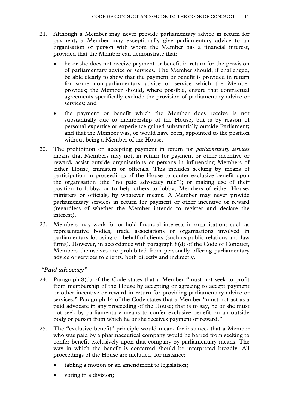- 21. Although a Member may never provide parliamentary advice in return for payment, a Member may exceptionally give parliamentary advice to an organisation or person with whom the Member has a financial interest, provided that the Member can demonstrate that:
	- he or she does not receive payment or benefit in return for the provision of parliamentary advice or services. The Member should, if challenged, be able clearly to show that the payment or benefit is provided in return for some non-parliamentary advice or service which the Member provides; the Member should, where possible, ensure that contractual agreements specifically exclude the provision of parliamentary advice or services; and
	- the payment or benefit which the Member does receive is not substantially due to membership of the House, but is by reason of personal expertise or experience gained substantially outside Parliament; and that the Member was, or would have been, appointed to the position without being a Member of the House.
- 22. The prohibition on accepting payment in return for *parliamentary services* means that Members may not, in return for payment or other incentive or reward, assist outside organisations or persons in influencing Members of either House, ministers or officials. This includes seeking by means of participation in proceedings of the House to confer exclusive benefit upon the organisation (the "no paid advocacy rule"); or making use of their position to lobby, or to help others to lobby, Members of either House, ministers or officials, by whatever means. A Member may never provide parliamentary services in return for payment or other incentive or reward (regardless of whether the Member intends to register and declare the interest).
- 23. Members may work for or hold financial interests in organisations such as representative bodies, trade associations or organisations involved in parliamentary lobbying on behalf of clients (such as public relations and law firms). However, in accordance with paragraph 8(d) of the Code of Conduct, Members themselves are prohibited from personally offering parliamentary advice or services to clients, both directly and indirectly.

# *"Paid advocacy"*

- 24. Paragraph 8(d) of the Code states that a Member "must not seek to profit from membership of the House by accepting or agreeing to accept payment or other incentive or reward in return for providing parliamentary advice or services." Paragraph 14 of the Code states that a Member "must not act as a paid advocate in any proceeding of the House; that is to say, he or she must not seek by parliamentary means to confer exclusive benefit on an outside body or person from which he or she receives payment or reward."
- 25. The "exclusive benefit" principle would mean, for instance, that a Member who was paid by a pharmaceutical company would be barred from seeking to confer benefit exclusively upon that company by parliamentary means. The way in which the benefit is conferred should be interpreted broadly. All proceedings of the House are included, for instance:
	- tabling a motion or an amendment to legislation;
	- voting in a division;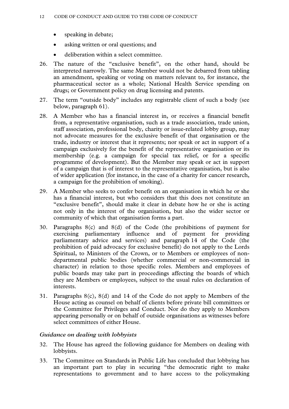- speaking in debate;
- asking written or oral questions; and
- deliberation within a select committee.
- 26. The nature of the "exclusive benefit", on the other hand, should be interpreted narrowly. The same Member would not be debarred from tabling an amendment, speaking or voting on matters relevant to, for instance, the pharmaceutical sector as a whole; National Health Service spending on drugs; or Government policy on drug licensing and patents.
- 27. The term "outside body" includes any registrable client of such a body (see below, paragraph 61).
- 28. A Member who has a financial interest in, or receives a financial benefit from, a representative organisation, such as a trade association, trade union, staff association, professional body, charity or issue-related lobby group, may not advocate measures for the exclusive benefit of that organisation or the trade, industry or interest that it represents; nor speak or act in support of a campaign exclusively for the benefit of the representative organisation or its membership (e.g. a campaign for special tax relief, or for a specific programme of development). But the Member may speak or act in support of a campaign that is of interest to the representative organisation, but is also of wider application (for instance, in the case of a charity for cancer research, a campaign for the prohibition of smoking).
- 29. A Member who seeks to confer benefit on an organisation in which he or she has a financial interest, but who considers that this does not constitute an "exclusive benefit", should make it clear in debate how he or she is acting not only in the interest of the organisation, but also the wider sector or community of which that organisation forms a part.
- 30. Paragraphs 8(c) and 8(d) of the Code (the prohibitions of payment for exercising parliamentary influence and of payment for providing parliamentary advice and services) and paragraph 14 of the Code (the prohibition of paid advocacy for exclusive benefit) do not apply to the Lords Spiritual, to Ministers of the Crown, or to Members or employees of nondepartmental public bodies (whether commercial or non-commercial in character) in relation to those specific roles. Members and employees of public boards may take part in proceedings affecting the boards of which they are Members or employees, subject to the usual rules on declaration of interests.
- 31. Paragraphs 8(c), 8(d) and 14 of the Code do not apply to Members of the House acting as counsel on behalf of clients before private bill committees or the Committee for Privileges and Conduct. Nor do they apply to Members appearing personally or on behalf of outside organisations as witnesses before select committees of either House.

## *Guidance on dealing with lobbyists*

- 32. The House has agreed the following guidance for Members on dealing with lobbyists.
- 33. The Committee on Standards in Public Life has concluded that lobbying has an important part to play in securing "the democratic right to make representations to government and to have access to the policymaking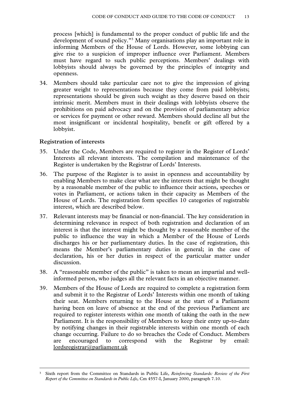process [which] is fundamental to the proper conduct of public life and the development of sound policy."3 Many organisations play an important role in informing Members of the House of Lords. However, some lobbying can give rise to a suspicion of improper influence over Parliament. Members must have regard to such public perceptions. Members' dealings with lobbyists should always be governed by the principles of integrity and openness.

34. Members should take particular care not to give the impression of giving greater weight to representations because they come from paid lobbyists; representations should be given such weight as they deserve based on their intrinsic merit. Members must in their dealings with lobbyists observe the prohibitions on paid advocacy and on the provision of parliamentary advice or services for payment or other reward. Members should decline all but the most insignificant or incidental hospitality, benefit or gift offered by a lobbyist.

## **Registration of interests**

- 35. Under the Code, Members are required to register in the Register of Lords' Interests all relevant interests. The compilation and maintenance of the Register is undertaken by the Registrar of Lords' Interests.
- 36. The purpose of the Register is to assist in openness and accountability by enabling Members to make clear what are the interests that might be thought by a reasonable member of the public to influence their actions, speeches or votes in Parliament, or actions taken in their capacity as Members of the House of Lords. The registration form specifies 10 categories of registrable interest, which are described below.
- 37. Relevant interests may be financial or non-financial. The key consideration in determining relevance in respect of both registration and declaration of an interest is that the interest might be thought by a reasonable member of the public to influence the way in which a Member of the House of Lords discharges his or her parliamentary duties. In the case of registration, this means the Member's parliamentary duties in general; in the case of declaration, his or her duties in respect of the particular matter under discussion.
- 38. A "reasonable member of the public" is taken to mean an impartial and wellinformed person, who judges all the relevant facts in an objective manner.
- 39. Members of the House of Lords are required to complete a registration form and submit it to the Registrar of Lords' Interests within one month of taking their seat. Members returning to the House at the start of a Parliament having been on leave of absence at the end of the previous Parliament are required to register interests within one month of taking the oath in the new Parliament. It is the responsibility of Members to keep their entry up-to-date by notifying changes in their registrable interests within one month of each change occurring. Failure to do so breaches the Code of Conduct. Members are encouraged to correspond with the Registrar by email: lordsregistrar@parliament.uk

 <sup>3</sup> Sixth report from the Committee on Standards in Public Life, *Reinforcing Standards: Review of the First Report of the Committee on Standards in Public Life*, Cm 4557-I, January 2000, paragraph 7.10.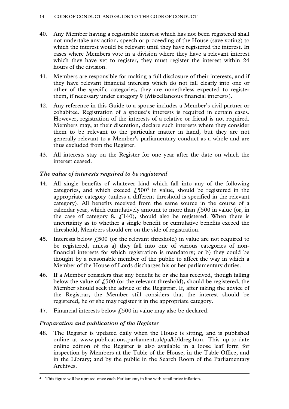- 40. Any Member having a registrable interest which has not been registered shall not undertake any action, speech or proceeding of the House (save voting) to which the interest would be relevant until they have registered the interest. In cases where Members vote in a division where they have a relevant interest which they have yet to register, they must register the interest within 24 hours of the division.
- 41. Members are responsible for making a full disclosure of their interests, and if they have relevant financial interests which do not fall clearly into one or other of the specific categories, they are nonetheless expected to register them, if necessary under category 9 (Miscellaneous financial interests).
- 42. Any reference in this Guide to a spouse includes a Member's civil partner or cohabitee. Registration of a spouse's interests is required in certain cases. However, registration of the interests of a relative or friend is not required. Members may, at their discretion, declare such interests where they consider them to be relevant to the particular matter in hand, but they are not generally relevant to a Member's parliamentary conduct as a whole and are thus excluded from the Register.
- 43. All interests stay on the Register for one year after the date on which the interest ceased.

## *The value of interests required to be registered*

- 44. All single benefits of whatever kind which fall into any of the following categories, and which exceed  $\text{\textsterling}500^4$  in value, should be registered in the appropriate category (unless a different threshold is specified in the relevant category). All benefits received from the same source in the course of a calendar year, which cumulatively amount to more than  $f<sub>1</sub>500$  in value (or, in the case of category 8,  $f(140)$ , should also be registered. When there is uncertainty as to whether a single benefit or cumulative benefits exceed the threshold, Members should err on the side of registration.
- 45. Interests below  $\angle 500$  (or the relevant threshold) in value are not required to be registered, unless a) they fall into one of various categories of nonfinancial interests for which registration is mandatory; or b) they could be thought by a reasonable member of the public to affect the way in which a Member of the House of Lords discharges his or her parliamentary duties.
- 46. If a Member considers that any benefit he or she has received, though falling below the value of  $\text{\textsterling}500$  (or the relevant threshold), should be registered, the Member should seek the advice of the Registrar. If, after taking the advice of the Registrar, the Member still considers that the interest should be registered, he or she may register it in the appropriate category.
- 47. Financial interests below  $\ell$ , 500 in value may also be declared.

# *Preparation and publication of the Register*

48. The Register is updated daily when the House is sitting, and is published online at www.publications.parliament.uk/pa/ld/ldreg.htm. This up-to-date online edition of the Register is also available in a loose leaf form for inspection by Members at the Table of the House, in the Table Office, and in the Library; and by the public in the Search Room of the Parliamentary Archives.

 <sup>4</sup> This figure will be uprated once each Parliament, in line with retail price inflation.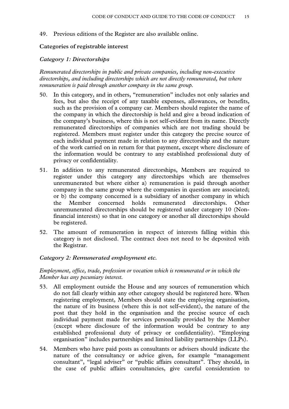#### 49. Previous editions of the Register are also available online.

#### **Categories of registrable interest**

#### *Category 1: Directorships*

*Remunerated directorships in public and private companies, including non-executive directorships, and including directorships which are not directly remunerated, but where remuneration is paid through another company in the same group.* 

- 50. In this category, and in others, "remuneration" includes not only salaries and fees, but also the receipt of any taxable expenses, allowances, or benefits, such as the provision of a company car. Members should register the name of the company in which the directorship is held and give a broad indication of the company's business, where this is not self-evident from its name. Directly remunerated directorships of companies which are not trading should be registered. Members must register under this category the precise source of each individual payment made in relation to any directorship and the nature of the work carried on in return for that payment, except where disclosure of the information would be contrary to any established professional duty of privacy or confidentiality.
- 51. In addition to any remunerated directorships, Members are required to register under this category any directorships which are themselves unremunerated but where either a) remuneration is paid through another company in the same group where the companies in question are associated; or b) the company concerned is a subsidiary of another company in which the Member concerned holds remunerated directorships. Other unremunerated directorships should be registered under category 10 (Nonfinancial interests) so that in one category or another all directorships should be registered.
- 52. The amount of remuneration in respect of interests falling within this category is not disclosed. The contract does not need to be deposited with the Registrar.

#### *Category 2: Remunerated employment etc.*

#### *Employment, office, trade, profession or vocation which is remunerated or in which the Member has any pecuniary interest.*

- 53. All employment outside the House and any sources of remuneration which do not fall clearly within any other category should be registered here. When registering employment, Members should state the employing organisation, the nature of its business (where this is not self-evident), the nature of the post that they hold in the organisation and the precise source of each individual payment made for services personally provided by the Member (except where disclosure of the information would be contrary to any established professional duty of privacy or confidentiality). "Employing organisation" includes partnerships and limited liability partnerships (LLPs).
- 54. Members who have paid posts as consultants or advisers should indicate the nature of the consultancy or advice given, for example "management consultant", "legal adviser" or "public affairs consultant". They should, in the case of public affairs consultancies, give careful consideration to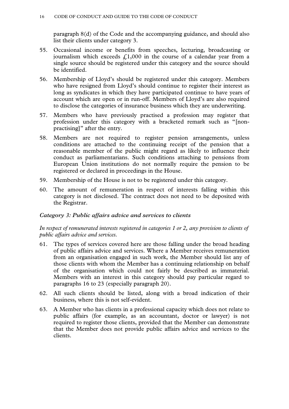paragraph 8(d) of the Code and the accompanying guidance, and should also list their clients under category 3.

- 55. Occasional income or benefits from speeches, lecturing, broadcasting or journalism which exceeds  $f(1,000)$  in the course of a calendar year from a single source should be registered under this category and the source should be identified.
- 56. Membership of Lloyd's should be registered under this category. Members who have resigned from Lloyd's should continue to register their interest as long as syndicates in which they have participated continue to have years of account which are open or in run-off. Members of Lloyd's are also required to disclose the categories of insurance business which they are underwriting.
- 57. Members who have previously practised a profession may register that profession under this category with a bracketed remark such as "[nonpractising]" after the entry.
- 58. Members are not required to register pension arrangements, unless conditions are attached to the continuing receipt of the pension that a reasonable member of the public might regard as likely to influence their conduct as parliamentarians. Such conditions attaching to pensions from European Union institutions do not normally require the pension to be registered or declared in proceedings in the House.
- 59. Membership of the House is not to be registered under this category.
- 60. The amount of remuneration in respect of interests falling within this category is not disclosed. The contract does not need to be deposited with the Registrar.

## *Category 3: Public affairs advice and services to clients*

*In respect of remunerated interests registered in categories 1 or 2, any provision to clients of public affairs advice and services.* 

- 61. The types of services covered here are those falling under the broad heading of public affairs advice and services. Where a Member receives remuneration from an organisation engaged in such work, the Member should list any of those clients with whom the Member has a continuing relationship on behalf of the organisation which could not fairly be described as immaterial. Members with an interest in this category should pay particular regard to paragraphs 16 to 23 (especially paragraph 20).
- 62. All such clients should be listed, along with a broad indication of their business, where this is not self-evident.
- 63. A Member who has clients in a professional capacity which does not relate to public affairs (for example, as an accountant, doctor or lawyer) is not required to register those clients, provided that the Member can demonstrate that the Member does not provide public affairs advice and services to the clients.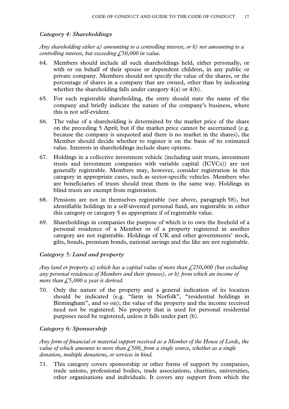#### *Category 4: Shareholdings*

*Any shareholding either a) amounting to a controlling interest, or b) not amounting to a controlling interest, but exceeding £50,000 in value.* 

- 64. Members should include all such shareholdings held, either personally, or with or on behalf of their spouse or dependent children, in any public or private company. Members should not specify the value of the shares, or the percentage of shares in a company that are owned, other than by indicating whether the shareholding falls under category 4(a) or 4(b).
- 65. For each registrable shareholding, the entry should state the name of the company and briefly indicate the nature of the company's business, where this is not self-evident.
- 66. The value of a shareholding is determined by the market price of the share on the preceding 5 April; but if the market price cannot be ascertained (e.g. because the company is unquoted and there is no market in the shares), the Member should decide whether to register it on the basis of its estimated value. Interests in shareholdings include share options.
- 67. Holdings in a collective investment vehicle (including unit trusts, investment trusts and investment companies with variable capital (ICVCs)) are not generally registrable. Members may, however, consider registration in this category in appropriate cases, such as sector-specific vehicles. Members who are beneficiaries of trusts should treat them in the same way. Holdings in blind trusts are exempt from registration.
- 68. Pensions are not in themselves registrable (see above, paragraph 58), but identifiable holdings in a self-invested personal fund, are registrable in either this category or category 5 as appropriate if of registrable value.
- 69. Shareholdings in companies the purpose of which is to own the freehold of a personal residence of a Member or of a property registered in another category are not registrable. Holdings of UK and other governments' stock, gilts, bonds, premium bonds, national savings and the like are not registrable.

#### *Category 5: Land and property*

*Any land or property a) which has a capital value of more than £250,000 (but excluding any personal residences of Members and their spouses), or b) from which an income of more than £5,000 a year is derived.* 

70. Only the nature of the property and a general indication of its location should be indicated (e.g. "farm in Norfolk", "residential holdings in Birmingham", and so on); the value of the property and the income received need not be registered. No property that is used for personal residential purposes need be registered, unless it falls under part (b).

#### *Category 6: Sponsorship*

*Any form of financial or material support received as a Member of the House of Lords, the value of which amounts to more than £500, from a single source, whether as a single donation, multiple donations, or services in kind.* 

71. This category covers sponsorship or other forms of support by companies, trade unions, professional bodies, trade associations, charities, universities, other organisations and individuals. It covers any support from which the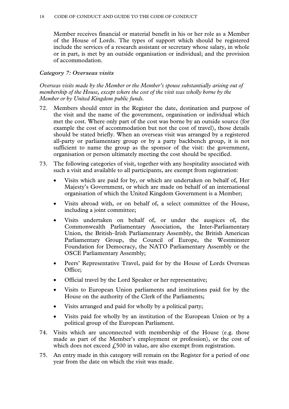Member receives financial or material benefit in his or her role as a Member of the House of Lords. The types of support which should be registered include the services of a research assistant or secretary whose salary, in whole or in part, is met by an outside organisation or individual; and the provision of accommodation.

## *Category 7: Overseas visits*

*Overseas visits made by the Member or the Member's spouse substantially arising out of membership of the House, except where the cost of the visit was wholly borne by the Member or by United Kingdom public funds.* 

- 72. Members should enter in the Register the date, destination and purpose of the visit and the name of the government, organisation or individual which met the cost. Where only part of the cost was borne by an outside source (for example the cost of accommodation but not the cost of travel), those details should be stated briefly. When an overseas visit was arranged by a registered all-party or parliamentary group or by a party backbench group, it is not sufficient to name the group as the sponsor of the visit: the government, organisation or person ultimately meeting the cost should be specified.
- 73. The following categories of visit, together with any hospitality associated with such a visit and available to all participants, are exempt from registration:
	- Visits which are paid for by, or which are undertaken on behalf of, Her Majesty's Government, or which are made on behalf of an international organisation of which the United Kingdom Government is a Member;
	- Visits abroad with, or on behalf of, a select committee of the House, including a joint committee;
	- Visits undertaken on behalf of, or under the auspices of, the Commonwealth Parliamentary Association, the Inter-Parliamentary Union, the British–Irish Parliamentary Assembly, the British American Parliamentary Group, the Council of Europe, the Westminster Foundation for Democracy, the NATO Parliamentary Assembly or the OSCE Parliamentary Assembly;
	- Peers' Representative Travel, paid for by the House of Lords Overseas Office;
	- Official travel by the Lord Speaker or her representative;
	- Visits to European Union parliaments and institutions paid for by the House on the authority of the Clerk of the Parliaments;
	- Visits arranged and paid for wholly by a political party;
	- Visits paid for wholly by an institution of the European Union or by a political group of the European Parliament.
- 74. Visits which are unconnected with membership of the House (e.g. those made as part of the Member's employment or profession), or the cost of which does not exceed  $f<sub>1</sub>500$  in value, are also exempt from registration.
- 75. An entry made in this category will remain on the Register for a period of one year from the date on which the visit was made.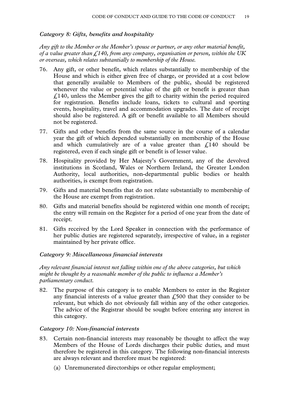#### *Category 8: Gifts, benefits and hospitality*

*Any gift to the Member or the Member's spouse or partner, or any other material benefit, of a value greater than £140, from any company, organisation or person, within the UK or overseas, which relates substantially to membership of the House.* 

- 76. Any gift, or other benefit, which relates substantially to membership of the House and which is either given free of charge, or provided at a cost below that generally available to Members of the public, should be registered whenever the value or potential value of the gift or benefit is greater than £140, unless the Member gives the gift to charity within the period required for registration. Benefits include loans, tickets to cultural and sporting events, hospitality, travel and accommodation upgrades. The date of receipt should also be registered. A gift or benefit available to all Members should not be registered.
- 77. Gifts and other benefits from the same source in the course of a calendar year the gift of which depended substantially on membership of the House and which cumulatively are of a value greater than  $\frac{1}{4}$  should be registered, even if each single gift or benefit is of lesser value.
- 78. Hospitality provided by Her Majesty's Government, any of the devolved institutions in Scotland, Wales or Northern Ireland, the Greater London Authority, local authorities, non-departmental public bodies or health authorities, is exempt from registration.
- 79. Gifts and material benefits that do not relate substantially to membership of the House are exempt from registration.
- 80. Gifts and material benefits should be registered within one month of receipt; the entry will remain on the Register for a period of one year from the date of receipt.
- 81. Gifts received by the Lord Speaker in connection with the performance of her public duties are registered separately, irrespective of value, in a register maintained by her private office.

#### *Category 9: Miscellaneous financial interests*

*Any relevant financial interest not falling within one of the above categories, but which might be thought by a reasonable member of the public to influence a Member's parliamentary conduct.* 

82. The purpose of this category is to enable Members to enter in the Register any financial interests of a value greater than  $f<sub>1</sub>500$  that they consider to be relevant, but which do not obviously fall within any of the other categories. The advice of the Registrar should be sought before entering any interest in this category.

#### *Category 10: Non-financial interests*

- 83. Certain non-financial interests may reasonably be thought to affect the way Members of the House of Lords discharges their public duties, and must therefore be registered in this category. The following non-financial interests are always relevant and therefore must be registered:
	- (a) Unremunerated directorships or other regular employment;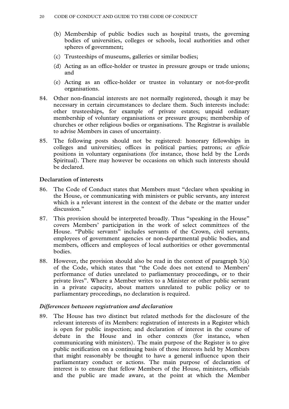- (b) Membership of public bodies such as hospital trusts, the governing bodies of universities, colleges or schools, local authorities and other spheres of government;
- (c) Trusteeships of museums, galleries or similar bodies;
- (d) Acting as an office-holder or trustee in pressure groups or trade unions; and
- (e) Acting as an office-holder or trustee in voluntary or not-for-profit organisations.
- 84. Other non-financial interests are not normally registered, though it may be necessary in certain circumstances to declare them. Such interests include: other trusteeships, for example of private estates; unpaid ordinary membership of voluntary organisations or pressure groups; membership of churches or other religious bodies or organisations. The Registrar is available to advise Members in cases of uncertainty.
- 85. The following posts should not be registered: honorary fellowships in colleges and universities; offices in political parties; patrons; *ex officio* positions in voluntary organisations (for instance, those held by the Lords Spiritual). There may however be occasions on which such interests should be declared.

## **Declaration of interests**

- 86. The Code of Conduct states that Members must "declare when speaking in the House, or communicating with ministers or public servants, any interest which is a relevant interest in the context of the debate or the matter under discussion."
- 87. This provision should be interpreted broadly. Thus "speaking in the House" covers Members' participation in the work of select committees of the House. "Public servants" includes servants of the Crown, civil servants, employees of government agencies or non-departmental public bodies, and members, officers and employees of local authorities or other governmental bodies.
- 88. However, the provision should also be read in the context of paragraph 3(a) of the Code, which states that "the Code does not extend to Members' performance of duties unrelated to parliamentary proceedings, or to their private lives". Where a Member writes to a Minister or other public servant in a private capacity, about matters unrelated to public policy or to parliamentary proceedings, no declaration is required.

## *Differences between registration and declaration*

89. The House has two distinct but related methods for the disclosure of the relevant interests of its Members: registration of interests in a Register which is open for public inspection; and declaration of interest in the course of debate in the House and in other contexts (for instance, when communicating with ministers). The main purpose of the Register is to give public notification on a continuing basis of those interests held by Members that might reasonably be thought to have a general influence upon their parliamentary conduct or actions. The main purpose of declaration of interest is to ensure that fellow Members of the House, ministers, officials and the public are made aware, at the point at which the Member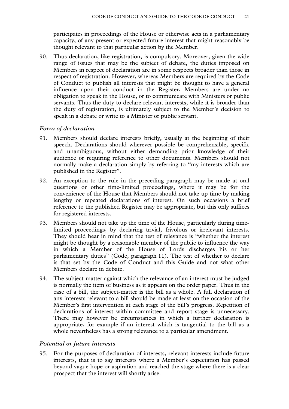participates in proceedings of the House or otherwise acts in a parliamentary capacity, of any present or expected future interest that might reasonably be thought relevant to that particular action by the Member.

90. Thus declaration, like registration, is compulsory. Moreover, given the wide range of issues that may be the subject of debate, the duties imposed on Members in respect of declaration are in some respects broader than those in respect of registration. However, whereas Members are required by the Code of Conduct to publish all interests that might be thought to have a general influence upon their conduct in the Register, Members are under no obligation to speak in the House, or to communicate with Ministers or public servants. Thus the duty to declare relevant interests, while it is broader than the duty of registration, is ultimately subject to the Member's decision to speak in a debate or write to a Minister or public servant.

#### *Form of declaration*

- 91. Members should declare interests briefly, usually at the beginning of their speech. Declarations should wherever possible be comprehensible, specific and unambiguous, without either demanding prior knowledge of their audience or requiring reference to other documents. Members should not normally make a declaration simply by referring to "my interests which are published in the Register".
- 92. An exception to the rule in the preceding paragraph may be made at oral questions or other time-limited proceedings, where it may be for the convenience of the House that Members should not take up time by making lengthy or repeated declarations of interest. On such occasions a brief reference to the published Register may be appropriate, but this only suffices for registered interests.
- 93. Members should not take up the time of the House, particularly during timelimited proceedings, by declaring trivial, frivolous or irrelevant interests. They should bear in mind that the test of relevance is "whether the interest might be thought by a reasonable member of the public to influence the way in which a Member of the House of Lords discharges his or her parliamentary duties" (Code, paragraph 11). The test of whether to declare is that set by the Code of Conduct and this Guide and not what other Members declare in debate.
- 94. The subject-matter against which the relevance of an interest must be judged is normally the item of business as it appears on the order paper. Thus in the case of a bill, the subject-matter is the bill as a whole. A full declaration of any interests relevant to a bill should be made at least on the occasion of the Member's first intervention at each stage of the bill's progress. Repetition of declarations of interest within committee and report stage is unnecessary. There may however be circumstances in which a further declaration is appropriate, for example if an interest which is tangential to the bill as a whole nevertheless has a strong relevance to a particular amendment.

#### *Potential or future interests*

95. For the purposes of declaration of interests, relevant interests include future interests, that is to say interests where a Member's expectation has passed beyond vague hope or aspiration and reached the stage where there is a clear prospect that the interest will shortly arise.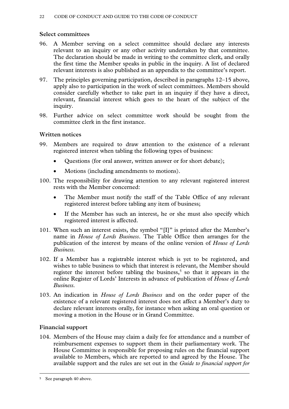## **Select committees**

- 96. A Member serving on a select committee should declare any interests relevant to an inquiry or any other activity undertaken by that committee. The declaration should be made in writing to the committee clerk, and orally the first time the Member speaks in public in the inquiry. A list of declared relevant interests is also published as an appendix to the committee's report.
- 97. The principles governing participation, described in paragraphs 12–15 above, apply also to participation in the work of select committees. Members should consider carefully whether to take part in an inquiry if they have a direct, relevant, financial interest which goes to the heart of the subject of the inquiry.
- 98. Further advice on select committee work should be sought from the committee clerk in the first instance.

## **Written notices**

- 99. Members are required to draw attention to the existence of a relevant registered interest when tabling the following types of business:
	- Questions (for oral answer, written answer or for short debate);
	- Motions (including amendments to motions).
- 100. The responsibility for drawing attention to any relevant registered interest rests with the Member concerned:
	- The Member must notify the staff of the Table Office of any relevant registered interest before tabling any item of business;
	- If the Member has such an interest, he or she must also specify which registered interest is affected.
- 101. When such an interest exists, the symbol "[I]" is printed after the Member's name in *House of Lords Business*. The Table Office then arranges for the publication of the interest by means of the online version of *House of Lords Business.*
- 102. If a Member has a registrable interest which is yet to be registered, and wishes to table business to which that interest is relevant, the Member should register the interest before tabling the business, $5$  so that it appears in the online Register of Lords' Interests in advance of publication of *House of Lords Business.*
- 103. An indication in *House of Lords Business* and on the order paper of the existence of a relevant registered interest does not affect a Member's duty to declare relevant interests orally, for instance when asking an oral question or moving a motion in the House or in Grand Committee.

## **Financial support**

104. Members of the House may claim a daily fee for attendance and a number of reimbursement expenses to support them in their parliamentary work. The House Committee is responsible for proposing rules on the financial support available to Members, which are reported to and agreed by the House. The available support and the rules are set out in the *Guide to financial support for* 

 <sup>5</sup> See paragraph 40 above.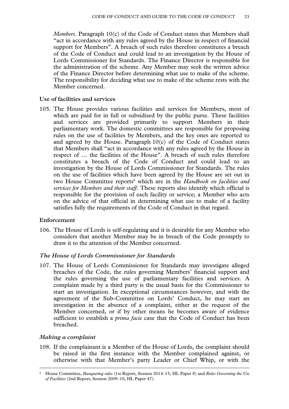*Members*. Paragraph 10(c) of the Code of Conduct states that Members shall "act in accordance with any rules agreed by the House in respect of financial support for Members". A breach of such rules therefore constitutes a breach of the Code of Conduct and could lead to an investigation by the House of Lords Commissioner for Standards. The Finance Director is responsible for the administration of the scheme. Any Member may seek the written advice of the Finance Director before determining what use to make of the scheme. The responsibility for deciding what use to make of the scheme rests with the Member concerned.

#### **Use of facilities and services**

105. The House provides various facilities and services for Members, most of which are paid for in full or subsidised by the public purse. These facilities and services are provided primarily to support Members in their parliamentary work. The domestic committees are responsible for proposing rules on the use of facilities by Members, and the key ones are reported to and agreed by the House. Paragraph  $10(c)$  of the Code of Conduct states that Members shall "act in accordance with any rules agreed by the House in respect of … the facilities of the House". A breach of such rules therefore constitutes a breach of the Code of Conduct and could lead to an investigation by the House of Lords Commissioner for Standards. The rules on the use of facilities which have been agreed by the House are set out in two House Committee reports<sup>6</sup> which are in the *Handbook on facilities and services for Members and their staff*. These reports also identify which official is responsible for the provision of each facility or service; a Member who acts on the advice of that official in determining what use to make of a facility satisfies fully the requirements of the Code of Conduct in that regard.

#### **Enforcement**

106. The House of Lords is self-regulating and it is desirable for any Member who considers that another Member may be in breach of the Code promptly to draw it to the attention of the Member concerned.

#### *The House of Lords Commissioner for Standards*

107. The House of Lords Commissioner for Standards may investigate alleged breaches of the Code, the rules governing Members' financial support and the rules governing the use of parliamentary facilities and services. A complaint made by a third party is the usual basis for the Commissioner to start an investigation. In exceptional circumstances however, and with the agreement of the Sub-Committee on Lords' Conduct, he may start an investigation in the absence of a complaint, either at the request of the Member concerned, or if by other means he becomes aware of evidence sufficient to establish a *prima facie* case that the Code of Conduct has been breached.

## *Making a complaint*

108. If the complainant is a Member of the House of Lords, the complaint should be raised in the first instance with the Member complained against, or otherwise with that Member's party Leader or Chief Whip, or with the

 <sup>6</sup> House Committee, *Banqueting rules* (1st Report, Session 2014–15, HL Paper 8) and *Rules Governing the Use of Facilities* (2nd Report, Session 2009–10, HL Paper 47).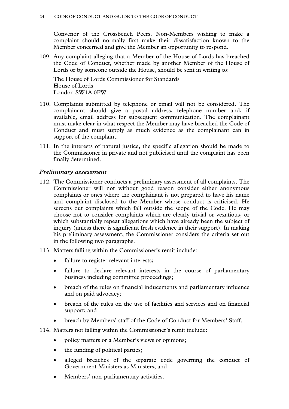Convenor of the Crossbench Peers. Non-Members wishing to make a complaint should normally first make their dissatisfaction known to the Member concerned and give the Member an opportunity to respond.

109. Any complaint alleging that a Member of the House of Lords has breached the Code of Conduct, whether made by another Member of the House of Lords or by someone outside the House, should be sent in writing to:

The House of Lords Commissioner for Standards House of Lords London SW1A 0PW

- 110. Complaints submitted by telephone or email will not be considered. The complainant should give a postal address, telephone number and, if available, email address for subsequent communication. The complainant must make clear in what respect the Member may have breached the Code of Conduct and must supply as much evidence as the complainant can in support of the complaint.
- 111. In the interests of natural justice, the specific allegation should be made to the Commissioner in private and not publicised until the complaint has been finally determined.

## *Preliminary assessment*

- 112. The Commissioner conducts a preliminary assessment of all complaints. The Commissioner will not without good reason consider either anonymous complaints or ones where the complainant is not prepared to have his name and complaint disclosed to the Member whose conduct is criticised. He screens out complaints which fall outside the scope of the Code. He may choose not to consider complaints which are clearly trivial or vexatious, or which substantially repeat allegations which have already been the subject of inquiry (unless there is significant fresh evidence in their support). In making his preliminary assessment, the Commissioner considers the criteria set out in the following two paragraphs.
- 113. Matters falling within the Commissioner's remit include:
	- failure to register relevant interests;
	- failure to declare relevant interests in the course of parliamentary business including committee proceedings;
	- breach of the rules on financial inducements and parliamentary influence and on paid advocacy;
	- breach of the rules on the use of facilities and services and on financial support; and
	- breach by Members' staff of the Code of Conduct for Members' Staff.
- 114. Matters not falling within the Commissioner's remit include:
	- policy matters or a Member's views or opinions;
	- the funding of political parties;
	- alleged breaches of the separate code governing the conduct of Government Ministers as Ministers; and
	- Members' non-parliamentary activities.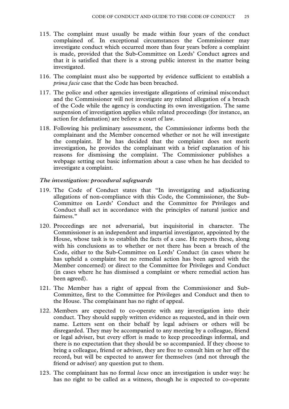- 115. The complaint must usually be made within four years of the conduct complained of. In exceptional circumstances the Commissioner may investigate conduct which occurred more than four years before a complaint is made, provided that the Sub-Committee on Lords' Conduct agrees and that it is satisfied that there is a strong public interest in the matter being investigated.
- 116. The complaint must also be supported by evidence sufficient to establish a *prima facie* case that the Code has been breached.
- 117. The police and other agencies investigate allegations of criminal misconduct and the Commissioner will not investigate any related allegation of a breach of the Code while the agency is conducting its own investigation. The same suspension of investigation applies while related proceedings (for instance, an action for defamation) are before a court of law.
- 118. Following his preliminary assessment, the Commissioner informs both the complainant and the Member concerned whether or not he will investigate the complaint. If he has decided that the complaint does not merit investigation, he provides the complainant with a brief explanation of his reasons for dismissing the complaint. The Commissioner publishes a webpage setting out basic information about a case when he has decided to investigate a complaint.

#### *The investigation: procedural safeguards*

- 119. The Code of Conduct states that "In investigating and adjudicating allegations of non-compliance with this Code, the Commissioner, the Sub-Committee on Lords' Conduct and the Committee for Privileges and Conduct shall act in accordance with the principles of natural justice and fairness."
- 120. Proceedings are not adversarial, but inquisitorial in character. The Commissioner is an independent and impartial investigator, appointed by the House, whose task is to establish the facts of a case. He reports these, along with his conclusions as to whether or not there has been a breach of the Code, either to the Sub-Committee on Lords' Conduct (in cases where he has upheld a complaint but no remedial action has been agreed with the Member concerned) or direct to the Committee for Privileges and Conduct (in cases where he has dismissed a complaint or where remedial action has been agreed).
- 121. The Member has a right of appeal from the Commissioner and Sub-Committee, first to the Committee for Privileges and Conduct and then to the House. The complainant has no right of appeal.
- 122. Members are expected to co-operate with any investigation into their conduct. They should supply written evidence as requested, and in their own name. Letters sent on their behalf by legal advisers or others will be disregarded. They may be accompanied to any meeting by a colleague, friend or legal adviser, but every effort is made to keep proceedings informal, and there is no expectation that they should be so accompanied. If they choose to bring a colleague, friend or adviser, they are free to consult him or her off the record, but will be expected to answer for themselves (and not through the friend or adviser) any question put to them.
- 123. The complainant has no formal *locus* once an investigation is under way: he has no right to be called as a witness, though he is expected to co-operate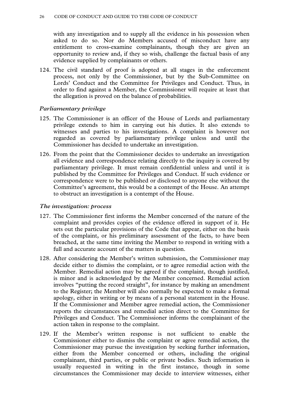with any investigation and to supply all the evidence in his possession when asked to do so. Nor do Members accused of misconduct have any entitlement to cross-examine complainants, though they are given an opportunity to review and, if they so wish, challenge the factual basis of any evidence supplied by complainants or others.

124. The civil standard of proof is adopted at all stages in the enforcement process, not only by the Commissioner, but by the Sub-Committee on Lords' Conduct and the Committee for Privileges and Conduct. Thus, in order to find against a Member, the Commissioner will require at least that the allegation is proved on the balance of probabilities.

## *Parliamentary privilege*

- 125. The Commissioner is an officer of the House of Lords and parliamentary privilege extends to him in carrying out his duties. It also extends to witnesses and parties to his investigations. A complaint is however not regarded as covered by parliamentary privilege unless and until the Commissioner has decided to undertake an investigation.
- 126. From the point that the Commissioner decides to undertake an investigation all evidence and correspondence relating directly to the inquiry is covered by parliamentary privilege. It must remain confidential unless and until it is published by the Committee for Privileges and Conduct. If such evidence or correspondence were to be published or disclosed to anyone else without the Committee's agreement, this would be a contempt of the House. An attempt to obstruct an investigation is a contempt of the House.

## *The investigation: process*

- 127. The Commissioner first informs the Member concerned of the nature of the complaint and provides copies of the evidence offered in support of it. He sets out the particular provisions of the Code that appear, either on the basis of the complaint, or his preliminary assessment of the facts, to have been breached, at the same time inviting the Member to respond in writing with a full and accurate account of the matters in question.
- 128. After considering the Member's written submission, the Commissioner may decide either to dismiss the complaint, or to agree remedial action with the Member. Remedial action may be agreed if the complaint, though justified, is minor and is acknowledged by the Member concerned. Remedial action involves "putting the record straight", for instance by making an amendment to the Register; the Member will also normally be expected to make a formal apology, either in writing or by means of a personal statement in the House. If the Commissioner and Member agree remedial action, the Commissioner reports the circumstances and remedial action direct to the Committee for Privileges and Conduct. The Commissioner informs the complainant of the action taken in response to the complaint.
- 129. If the Member's written response is not sufficient to enable the Commissioner either to dismiss the complaint or agree remedial action, the Commissioner may pursue the investigation by seeking further information, either from the Member concerned or others, including the original complainant, third parties, or public or private bodies. Such information is usually requested in writing in the first instance, though in some circumstances the Commissioner may decide to interview witnesses, either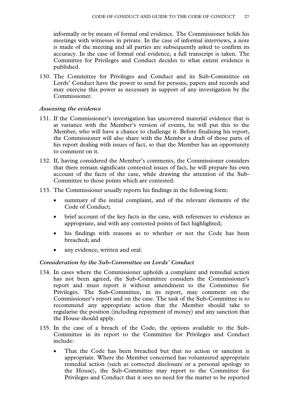informally or by means of formal oral evidence. The Commissioner holds his meetings with witnesses in private. In the case of informal interviews, a note is made of the meeting and all parties are subsequently asked to confirm its accuracy. In the case of formal oral evidence, a full transcript is taken. The Committee for Privileges and Conduct decides to what extent evidence is published.

130. The Committee for Privileges and Conduct and its Sub-Committee on Lords' Conduct have the power to send for persons, papers and records and may exercise this power as necessary in support of any investigation by the Commissioner.

#### *Assessing the evidence*

- 131. If the Commissioner's investigation has uncovered material evidence that is at variance with the Member's version of events, he will put this to the Member, who will have a chance to challenge it. Before finalising his report, the Commissioner will also share with the Member a draft of those parts of his report dealing with issues of fact, so that the Member has an opportunity to comment on it.
- 132. If, having considered the Member's comments, the Commissioner considers that there remain significant contested issues of fact, he will prepare his own account of the facts of the case, while drawing the attention of the Sub-Committee to those points which are contested.
- 133. The Commissioner usually reports his findings in the following form:
	- summary of the initial complaint, and of the relevant elements of the Code of Conduct;
	- brief account of the key facts in the case, with references to evidence as appropriate, and with any contested points of fact highlighted;
	- his findings with reasons as to whether or not the Code has been breached; and
	- any evidence, written and oral.

## *Consideration by the Sub-Committee on Lords' Conduct*

- 134. In cases where the Commissioner upholds a complaint and remedial action has not been agreed, the Sub-Committee considers the Commissioner's report and must report it without amendment to the Committee for Privileges. The Sub-Committee, in its report, may comment on the Commissioner's report and on the case. The task of the Sub-Committee is to recommend any appropriate action that the Member should take to regularise the position (including repayment of money) and any sanction that the House should apply.
- 135. In the case of a breach of the Code, the options available to the Sub-Committee in its report to the Committee for Privileges and Conduct include:
	- That the Code has been breached but that no action or sanction is appropriate. Where the Member concerned has volunteered appropriate remedial action (such as corrected disclosure or a personal apology to the House), the Sub-Committee may report to the Committee for Privileges and Conduct that it sees no need for the matter to be reported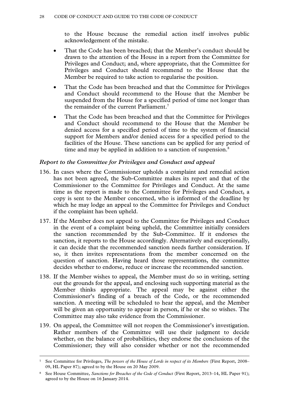to the House because the remedial action itself involves public acknowledgement of the mistake.

- That the Code has been breached; that the Member's conduct should be drawn to the attention of the House in a report from the Committee for Privileges and Conduct; and, where appropriate, that the Committee for Privileges and Conduct should recommend to the House that the Member be required to take action to regularise the position.
- That the Code has been breached and that the Committee for Privileges and Conduct should recommend to the House that the Member be suspended from the House for a specified period of time not longer than the remainder of the current Parliament.<sup>7</sup>
- That the Code has been breached and that the Committee for Privileges and Conduct should recommend to the House that the Member be denied access for a specified period of time to the system of financial support for Members and/or denied access for a specified period to the facilities of the House. These sanctions can be applied for any period of time and may be applied in addition to a sanction of suspension.<sup>8</sup>

## *Report to the Committee for Privileges and Conduct and appeal*

- 136. In cases where the Commissioner upholds a complaint and remedial action has not been agreed, the Sub-Committee makes its report and that of the Commissioner to the Committee for Privileges and Conduct. At the same time as the report is made to the Committee for Privileges and Conduct, a copy is sent to the Member concerned, who is informed of the deadline by which he may lodge an appeal to the Committee for Privileges and Conduct if the complaint has been upheld.
- 137. If the Member does not appeal to the Committee for Privileges and Conduct in the event of a complaint being upheld, the Committee initially considers the sanction recommended by the Sub-Committee. If it endorses the sanction, it reports to the House accordingly. Alternatively and exceptionally, it can decide that the recommended sanction needs further consideration. If so, it then invites representations from the member concerned on the question of sanction. Having heard those representations, the committee decides whether to endorse, reduce or increase the recommended sanction.
- 138. If the Member wishes to appeal, the Member must do so in writing, setting out the grounds for the appeal, and enclosing such supporting material as the Member thinks appropriate. The appeal may be against either the Commissioner's finding of a breach of the Code, or the recommended sanction. A meeting will be scheduled to hear the appeal, and the Member will be given an opportunity to appear in person, if he or she so wishes. The Committee may also take evidence from the Commissioner.
- 139. On appeal, the Committee will not reopen the Commissioner's investigation. Rather members of the Committee will use their judgment to decide whether, on the balance of probabilities, they endorse the conclusions of the Commissioner; they will also consider whether or not the recommended

 <sup>7</sup> See Committee for Privileges, *The powers of the House of Lords in respect of its Members* (First Report, 2008– 09, HL Paper 87); agreed to by the House on 20 May 2009.

<sup>8</sup> See House Committee, *Sanctions for Breaches of the Code of Conduct* (First Report, 2013–14, HL Paper 91); agreed to by the House on 16 January 2014.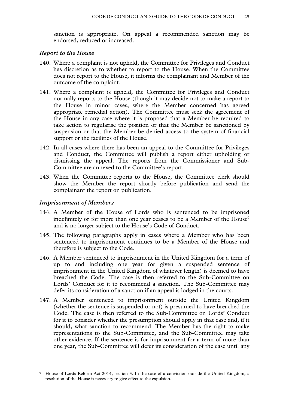sanction is appropriate. On appeal a recommended sanction may be endorsed, reduced or increased.

#### *Report to the House*

- 140. Where a complaint is not upheld, the Committee for Privileges and Conduct has discretion as to whether to report to the House. When the Committee does not report to the House, it informs the complainant and Member of the outcome of the complaint.
- 141. Where a complaint is upheld, the Committee for Privileges and Conduct normally reports to the House (though it may decide not to make a report to the House in minor cases, where the Member concerned has agreed appropriate remedial action). The Committee must seek the agreement of the House in any case where it is proposed that a Member be required to take action to regularise the position or that the Member be sanctioned by suspension or that the Member be denied access to the system of financial support or the facilities of the House.
- 142. In all cases where there has been an appeal to the Committee for Privileges and Conduct, the Committee will publish a report either upholding or dismissing the appeal. The reports from the Commissioner and Sub-Committee are annexed to the Committee's report.
- 143. When the Committee reports to the House, the Committee clerk should show the Member the report shortly before publication and send the complainant the report on publication.

#### *Imprisonment of Members*

- 144. A Member of the House of Lords who is sentenced to be imprisoned indefinitely or for more than one year ceases to be a Member of the House<sup>9</sup> and is no longer subject to the House's Code of Conduct.
- 145. The following paragraphs apply in cases where a Member who has been sentenced to imprisonment continues to be a Member of the House and therefore is subject to the Code.
- 146. A Member sentenced to imprisonment in the United Kingdom for a term of up to and including one year (or given a suspended sentence of imprisonment in the United Kingdom of whatever length) is deemed to have breached the Code. The case is then referred to the Sub-Committee on Lords' Conduct for it to recommend a sanction. The Sub-Committee may defer its consideration of a sanction if an appeal is lodged in the courts.
- 147. A Member sentenced to imprisonment outside the United Kingdom (whether the sentence is suspended or not) is presumed to have breached the Code. The case is then referred to the Sub-Committee on Lords' Conduct for it to consider whether the presumption should apply in that case and, if it should, what sanction to recommend. The Member has the right to make representations to the Sub-Committee, and the Sub-Committee may take other evidence. If the sentence is for imprisonment for a term of more than one year, the Sub-Committee will defer its consideration of the case until any

 <sup>9</sup> House of Lords Reform Act 2014, section 3. In the case of a conviction outside the United Kingdom, a resolution of the House is necessary to give effect to the expulsion.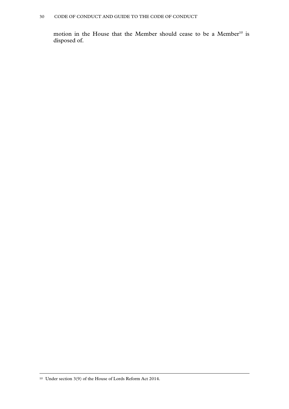motion in the House that the Member should cease to be a Member<sup>10</sup> is disposed of.

 <sup>10</sup> Under section 3(9) of the House of Lords Reform Act 2014.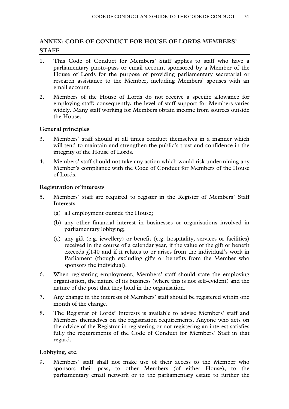# **ANNEX: CODE OF CONDUCT FOR HOUSE OF LORDS MEMBERS' STAFF**

- 1. This Code of Conduct for Members' Staff applies to staff who have a parliamentary photo-pass or email account sponsored by a Member of the House of Lords for the purpose of providing parliamentary secretarial or research assistance to the Member, including Members' spouses with an email account.
- 2. Members of the House of Lords do not receive a specific allowance for employing staff; consequently, the level of staff support for Members varies widely. Many staff working for Members obtain income from sources outside the House.

# **General principles**

- 3. Members' staff should at all times conduct themselves in a manner which will tend to maintain and strengthen the public's trust and confidence in the integrity of the House of Lords.
- 4. Members' staff should not take any action which would risk undermining any Member's compliance with the Code of Conduct for Members of the House of Lords.

# **Registration of interests**

- 5. Members' staff are required to register in the Register of Members' Staff Interests:
	- (a) all employment outside the House;
	- (b) any other financial interest in businesses or organisations involved in parliamentary lobbying;
	- (c) any gift (e.g. jewellery) or benefit (e.g. hospitality, services or facilities) received in the course of a calendar year, if the value of the gift or benefit exceeds  $\ell$  140 and if it relates to or arises from the individual's work in Parliament (though excluding gifts or benefits from the Member who sponsors the individual).
- 6. When registering employment, Members' staff should state the employing organisation, the nature of its business (where this is not self-evident) and the nature of the post that they hold in the organisation.
- 7. Any change in the interests of Members' staff should be registered within one month of the change.
- 8. The Registrar of Lords' Interests is available to advise Members' staff and Members themselves on the registration requirements. Anyone who acts on the advice of the Registrar in registering or not registering an interest satisfies fully the requirements of the Code of Conduct for Members' Staff in that regard.

# **Lobbying, etc.**

9. Members' staff shall not make use of their access to the Member who sponsors their pass, to other Members (of either House), to the parliamentary email network or to the parliamentary estate to further the